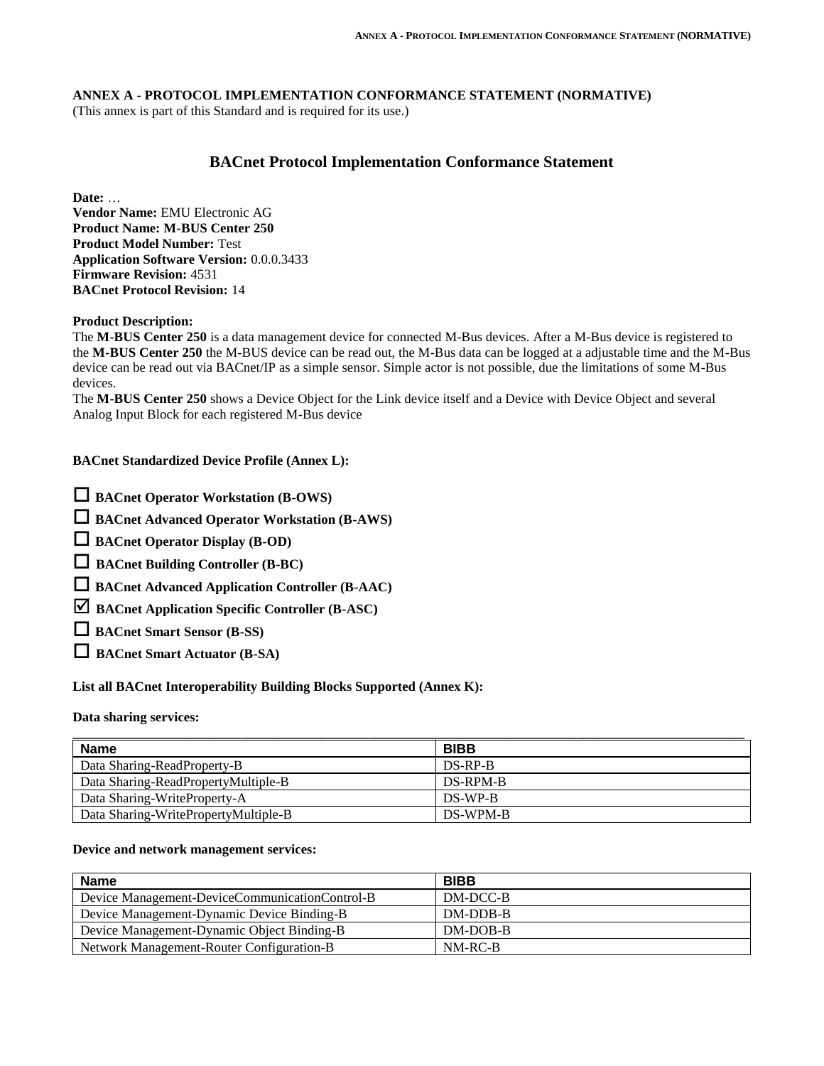#### **ANNEX A - PROTOCOL IMPLEMENTATION CONFORMANCE STATEMENT (NORMATIVE)**

(This annex is part of this Standard and is required for its use.)

# **BACnet Protocol Implementation Conformance Statement**

**Date:** …

**Vendor Name:** EMU Electronic AG **Product Name: M-BUS Center 250 Product Model Number:** Test **Application Software Version:** 0.0.0.3433 **Firmware Revision:** 4531 **BACnet Protocol Revision:** 14

#### **Product Description:**

The **M-BUS Center 250** is a data management device for connected M-Bus devices. After a M-Bus device is registered to the **M-BUS Center 250** the M-BUS device can be read out, the M-Bus data can be logged at a adjustable time and the M-Bus device can be read out via BACnet/IP as a simple sensor. Simple actor is not possible, due the limitations of some M-Bus devices.

The **M-BUS Center 250** shows a Device Object for the Link device itself and a Device with Device Object and several Analog Input Block for each registered M-Bus device

#### **BACnet Standardized Device Profile (Annex L):**

**BACnet Advanced Operator Workstation (B-AWS)** 

**BACnet Operator Display (B-OD)** 

**BACnet Building Controller (B-BC)**

- **BACnet Advanced Application Controller (B-AAC)**
- **BACnet Application Specific Controller (B-ASC)**

**BACnet Smart Sensor (B-SS)**

**BACnet Smart Actuator (B-SA)**

#### **List all BACnet Interoperability Building Blocks Supported (Annex K):**

#### **Data sharing services:**

| <b>Name</b>                          | <b>BIBB</b> |
|--------------------------------------|-------------|
| Data Sharing-ReadProperty-B          | DS-RP-B     |
| Data Sharing-ReadPropertyMultiple-B  | DS-RPM-B    |
| Data Sharing-WriteProperty-A         | DS-WP-B     |
| Data Sharing-WritePropertyMultiple-B | DS-WPM-B    |

#### **Device and network management services:**

| <b>Name</b>                                    | <b>BIBB</b> |
|------------------------------------------------|-------------|
| Device Management-DeviceCommunicationControl-B | DM-DCC-B    |
| Device Management-Dynamic Device Binding-B     | DM-DDB-B    |
| Device Management-Dynamic Object Binding-B     | DM-DOB-B    |
| Network Management-Router Configuration-B      | NM-RC-B     |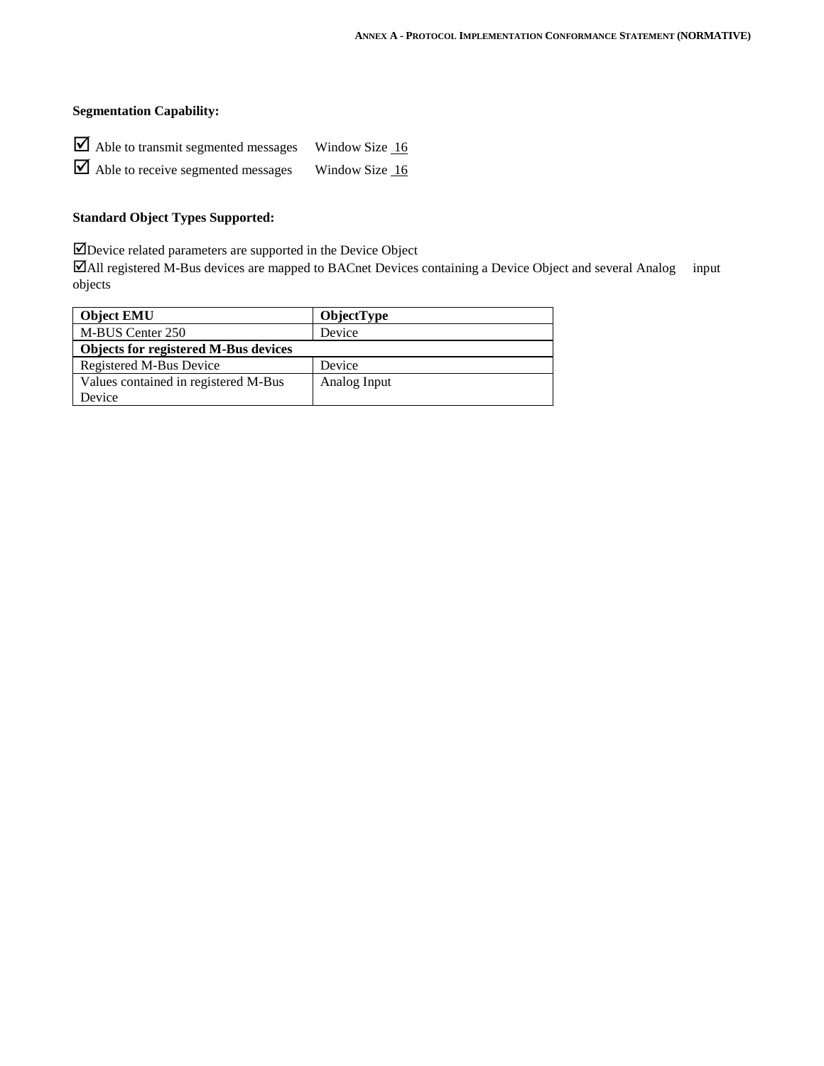# **Segmentation Capability:**

| $\blacktriangleright$ Able to transmit segmented messages | Window Size 16 |
|-----------------------------------------------------------|----------------|
| $\blacktriangleright$ Able to receive segmented messages  | Window Size 16 |

# **Standard Object Types Supported:**

Device related parameters are supported in the Device Object

All registered M-Bus devices are mapped to BACnet Devices containing a Device Object and several Analog input objects

| <b>Object EMU</b>                    | <b>ObjectType</b> |
|--------------------------------------|-------------------|
| M-BUS Center 250                     | Device            |
| Objects for registered M-Bus devices |                   |
| Registered M-Bus Device              | Device            |
| Values contained in registered M-Bus | Analog Input      |
| Device                               |                   |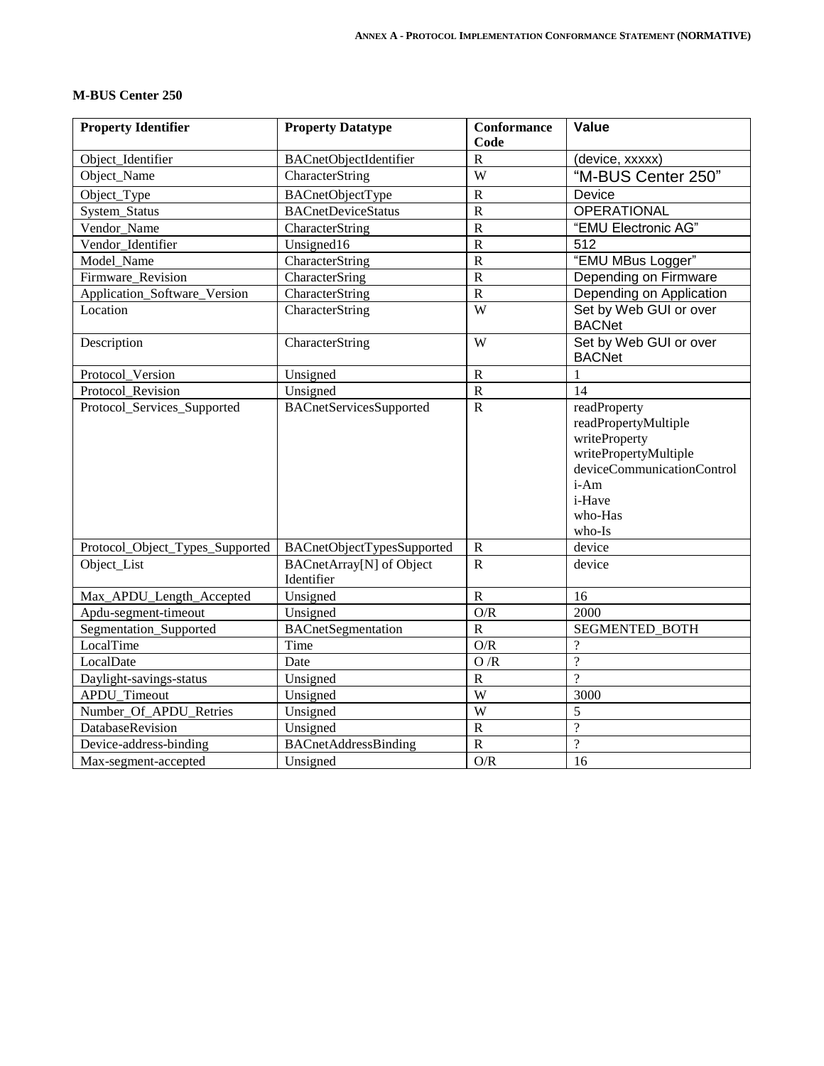| <b>Property Identifier</b>   | <b>Property Datatype</b>  | <b>Conformance</b> | Value                                      |
|------------------------------|---------------------------|--------------------|--------------------------------------------|
|                              |                           | Code               |                                            |
| Object_Identifier            | BACnetObjectIdentifier    | R                  | (device, xxxxx)                            |
| Object_Name                  | CharacterString           | W                  | "M-BUS Cen                                 |
| Object_Type                  | BACnetObjectType          | R                  | Device                                     |
| System_Status                | <b>BACnetDeviceStatus</b> | R                  | <b>OPERATIONAL</b>                         |
| Vendor_Name                  | CharacterString           | R                  | "EMU Electroni                             |
| Vendor_Identifier            | Unsigned16                | R                  | 512                                        |
| Model Name                   | CharacterString           | R                  | "EMU MBus Lo                               |
| Firmware_Revision            | CharacterSring            | R                  | Depending on F                             |
| Application_Software_Version | CharacterString           | R                  | Depending on /                             |
| Location                     | CharacterString           | W                  | Set by Web GU<br>$R\Lambda$ CNI $\Delta$ t |

### **M-BUS Center 250**

| Object_Name                     | CharacterString                               | W                       | "M-BUS Center 250"                                                                                                                                  |
|---------------------------------|-----------------------------------------------|-------------------------|-----------------------------------------------------------------------------------------------------------------------------------------------------|
| Object_Type                     | BACnetObjectType                              | $\mathbf R$             | Device                                                                                                                                              |
| System_Status                   | <b>BACnetDeviceStatus</b>                     | $\overline{\mathbf{R}}$ | <b>OPERATIONAL</b>                                                                                                                                  |
| Vendor Name                     | CharacterString                               | $\overline{\mathsf{R}}$ | "EMU Electronic AG"                                                                                                                                 |
| Vendor Identifier               | Unsigned16                                    | $\overline{\mathbf{R}}$ | 512                                                                                                                                                 |
| Model_Name                      | CharacterString                               | $\overline{\mathbf{R}}$ | "EMU MBus Logger"                                                                                                                                   |
| Firmware Revision               | CharacterSring                                | $\mathbf R$             | Depending on Firmware                                                                                                                               |
| Application_Software_Version    | CharacterString                               | $\mathbf R$             | Depending on Application                                                                                                                            |
| Location                        | CharacterString                               | $\overline{W}$          | Set by Web GUI or over<br><b>BACNet</b>                                                                                                             |
| Description                     | CharacterString                               | W                       | Set by Web GUI or over<br><b>BACNet</b>                                                                                                             |
| Protocol Version                | Unsigned                                      | ${\bf R}$               | $\mathbf{1}$                                                                                                                                        |
| Protocol Revision               | Unsigned                                      | $\overline{R}$          | 14                                                                                                                                                  |
| Protocol_Services_Supported     | <b>BACnetServicesSupported</b>                | $\mathbf R$             | readProperty<br>readPropertyMultiple<br>writeProperty<br>writePropertyMultiple<br>deviceCommunicationControl<br>i-Am<br>i-Have<br>who-Has<br>who-Is |
| Protocol_Object_Types_Supported | BACnetObjectTypesSupported                    | ${\bf R}$               | device                                                                                                                                              |
| Object_List                     | <b>BACnetArray[N]</b> of Object<br>Identifier | $\mathbf R$             | device                                                                                                                                              |
| Max_APDU_Length_Accepted        | Unsigned                                      | ${\bf R}$               | 16                                                                                                                                                  |
| Apdu-segment-timeout            | Unsigned                                      | $\mathbf{O}/\mathbf{R}$ | 2000                                                                                                                                                |
| Segmentation_Supported          | <b>BACnetSegmentation</b>                     | $\mathbf R$             | SEGMENTED_BOTH                                                                                                                                      |
| LocalTime                       | Time                                          | O/R                     | $\overline{\mathcal{L}}$                                                                                                                            |
| LocalDate                       | Date                                          | O/R                     | $\overline{?}$                                                                                                                                      |
| Daylight-savings-status         | Unsigned                                      | $\mathbf R$             | $\gamma$                                                                                                                                            |
| APDU_Timeout                    | Unsigned                                      | $\overline{\mathbf{W}}$ | 3000                                                                                                                                                |
| Number_Of_APDU_Retries          | Unsigned                                      | W                       | 5                                                                                                                                                   |
| DatabaseRevision                | Unsigned                                      | ${\bf R}$               | $\overline{?}$                                                                                                                                      |
| Device-address-binding          | <b>BACnetAddressBinding</b>                   | $\, {\bf R}$            | $\overline{\mathcal{L}}$                                                                                                                            |
| Max-segment-accepted            | Unsigned                                      | $\mathbf{O}/\mathbf{R}$ | 16                                                                                                                                                  |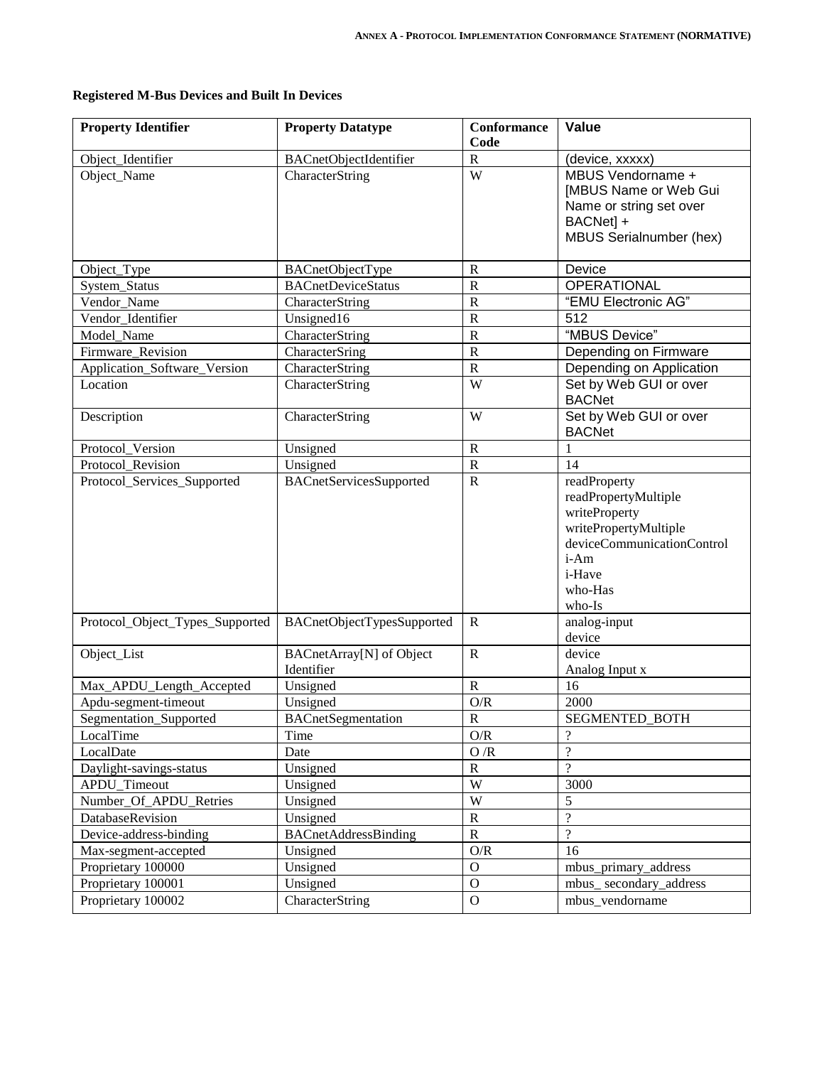| <b>Property Identifier</b>      | <b>Property Datatype</b>        | <b>Conformance</b>      | Value                                             |
|---------------------------------|---------------------------------|-------------------------|---------------------------------------------------|
|                                 |                                 | Code                    |                                                   |
| Object_Identifier               | <b>BACnetObjectIdentifier</b>   | ${\bf R}$               | (device, xxxxx)                                   |
| Object_Name                     | CharacterString                 | W                       | MBUS Vendorname +<br><b>[MBUS Name or Web Gui</b> |
|                                 |                                 |                         | Name or string set over                           |
|                                 |                                 |                         | BACNet] +                                         |
|                                 |                                 |                         | MBUS Serialnumber (hex)                           |
|                                 |                                 |                         |                                                   |
| Object_Type                     | BACnetObjectType                | $\mathbb{R}$            | Device                                            |
| System_Status                   | <b>BACnetDeviceStatus</b>       | $\mathbb{R}$            | OPERATIONAL                                       |
| Vendor Name                     | CharacterString                 | ${\bf R}$               | "EMU Electronic AG"                               |
| Vendor_Identifier               | Unsigned16                      | ${\bf R}$               | 512                                               |
| Model_Name                      | CharacterString                 | ${\bf R}$               | "MBUS Device"                                     |
| Firmware_Revision               | CharacterSring                  | ${\bf R}$               | Depending on Firmware                             |
| Application_Software_Version    | CharacterString                 | ${\bf R}$               | Depending on Application                          |
| Location                        | CharacterString                 | W                       | Set by Web GUI or over<br><b>BACNet</b>           |
| Description                     | CharacterString                 | W                       | Set by Web GUI or over<br><b>BACNet</b>           |
| Protocol_Version                | Unsigned                        | ${\bf R}$               | $\mathbf{1}$                                      |
| Protocol_Revision               | Unsigned                        | ${\bf R}$               | 14                                                |
| Protocol_Services_Supported     | <b>BACnetServicesSupported</b>  | ${\bf R}$               | readProperty                                      |
|                                 |                                 |                         | readPropertyMultiple                              |
|                                 |                                 |                         | writeProperty                                     |
|                                 |                                 |                         | writePropertyMultiple                             |
|                                 |                                 |                         | deviceCommunicationControl                        |
|                                 |                                 |                         | i-Am                                              |
|                                 |                                 |                         | i-Have<br>who-Has                                 |
|                                 |                                 |                         | who-Is                                            |
| Protocol_Object_Types_Supported | BACnetObjectTypesSupported      | $\mathbb{R}$            | analog-input                                      |
|                                 |                                 |                         | device                                            |
| Object_List                     | <b>BACnetArray[N]</b> of Object | $\mathbf R$             | device                                            |
|                                 | Identifier                      |                         | Analog Input x                                    |
| Max_APDU_Length_Accepted        | Unsigned                        | ${\bf R}$               | 16                                                |
| Apdu-segment-timeout            | Unsigned                        | O/R                     | 2000                                              |
| Segmentation Supported          | <b>BACnetSegmentation</b>       | R                       | SEGMENTED_BOTH                                    |
| LocalTime                       | Time                            | O/R                     | $\gamma$                                          |
| LocalDate                       | Date                            | O/R                     | $\overline{\mathcal{L}}$                          |
| Daylight-savings-status         | Unsigned                        | $\mathbf R$             | $\overline{?}$                                    |
| APDU_Timeout                    | Unsigned                        | $\ensuremath{\text{W}}$ | 3000                                              |
| Number_Of_APDU_Retries          | Unsigned                        | W                       | 5                                                 |
| DatabaseRevision                | Unsigned                        | $\mathbb{R}$            | $\overline{?}$                                    |
| Device-address-binding          | BACnetAddressBinding            | ${\bf R}$               | $\overline{?}$                                    |
| Max-segment-accepted            | Unsigned                        | $\mathbf{O}/\mathbf{R}$ | 16                                                |
| Proprietary 100000              | Unsigned                        | $\mathbf O$             | mbus_primary_address                              |
| Proprietary 100001              | Unsigned                        | $\mathbf{O}$            | mbus_secondary_address                            |
| Proprietary 100002              | CharacterString                 | $\mathbf{O}$            | mbus_vendorname                                   |

# **Registered M-Bus Devices and Built In Devices**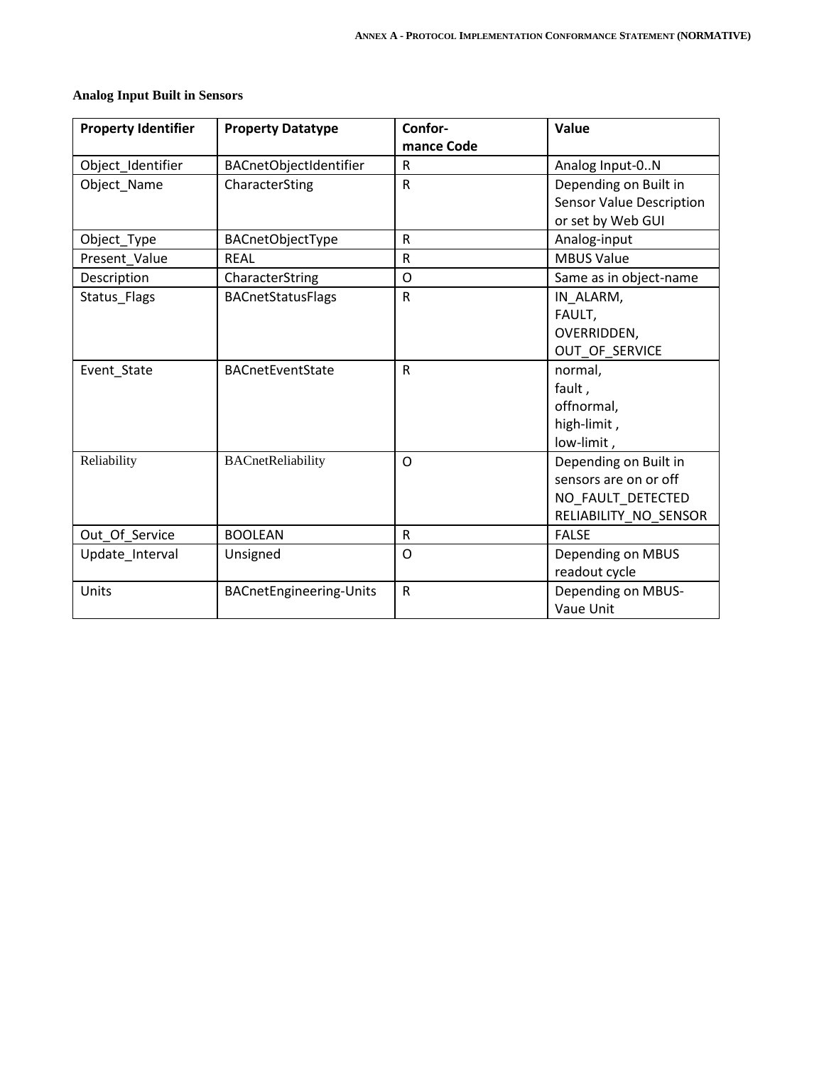|  |  |  |  | <b>Analog Input Built in Sensors</b> |
|--|--|--|--|--------------------------------------|
|--|--|--|--|--------------------------------------|

| <b>Property Identifier</b> | <b>Property Datatype</b>       | Confor-<br>mance Code | Value                                                                                        |
|----------------------------|--------------------------------|-----------------------|----------------------------------------------------------------------------------------------|
| Object_Identifier          | BACnetObjectIdentifier         | $\mathsf{R}$          | Analog Input-0N                                                                              |
| Object Name                | CharacterSting                 | $\mathsf{R}$          | Depending on Built in<br><b>Sensor Value Description</b><br>or set by Web GUI                |
| Object Type                | BACnetObjectType               | ${\sf R}$             | Analog-input                                                                                 |
| Present_Value              | RFAL                           | $\mathsf{R}$          | <b>MBUS Value</b>                                                                            |
| Description                | CharacterString                | $\circ$               | Same as in object-name                                                                       |
| Status Flags               | <b>BACnetStatusFlags</b>       | $\mathsf R$           | IN ALARM,<br>FAULT,<br>OVERRIDDEN,<br>OUT_OF_SERVICE                                         |
| Event State                | <b>BACnetEventState</b>        | $\mathsf{R}$          | normal,<br>fault,<br>offnormal,<br>high-limit,<br>low-limit,                                 |
| Reliability                | BACnetReliability              | O                     | Depending on Built in<br>sensors are on or off<br>NO_FAULT_DETECTED<br>RELIABILITY_NO_SENSOR |
| Out_Of_Service             | <b>BOOLEAN</b>                 | ${\sf R}$             | <b>FALSE</b>                                                                                 |
| Update Interval            | Unsigned                       | $\circ$               | Depending on MBUS<br>readout cycle                                                           |
| Units                      | <b>BACnetEngineering-Units</b> | $\mathsf{R}$          | Depending on MBUS-<br>Vaue Unit                                                              |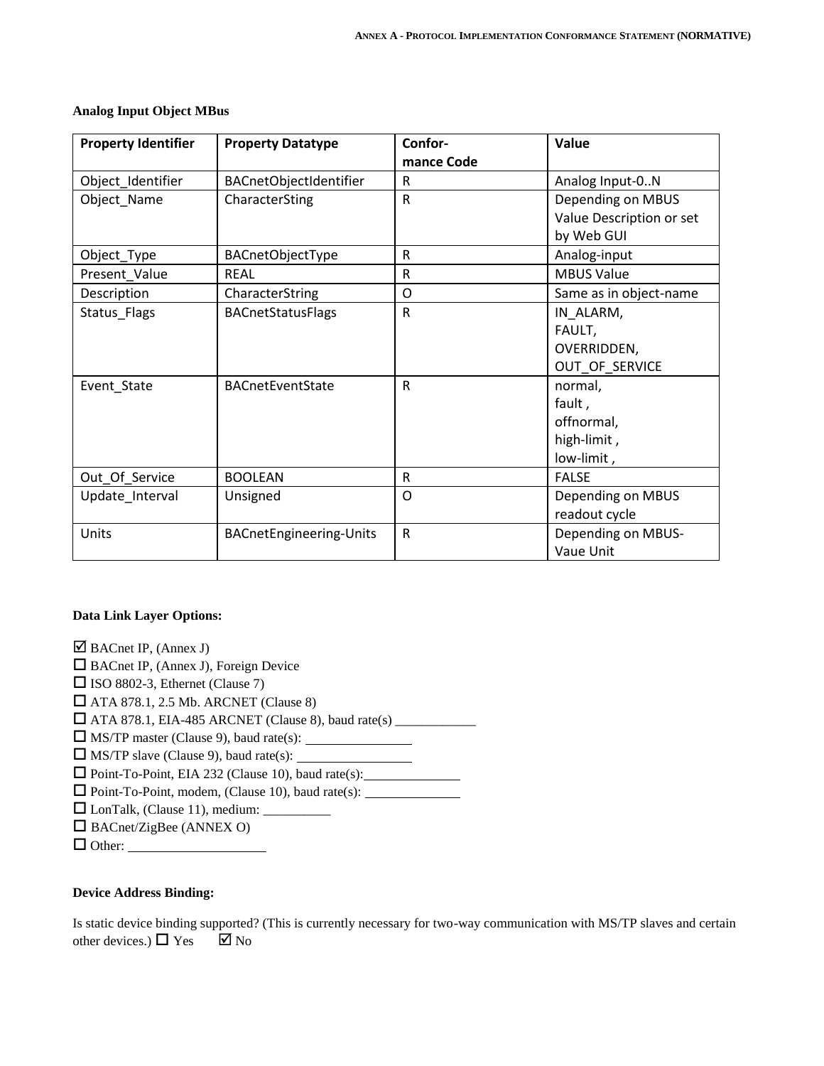| <b>Property Identifier</b> | <b>Property Datatype</b>       | Confor-<br>mance Code | Value                    |
|----------------------------|--------------------------------|-----------------------|--------------------------|
| Object_Identifier          | BACnetObjectIdentifier         | $\mathsf{R}$          | Analog Input-0N          |
| Object_Name                | CharacterSting                 | $\mathsf{R}$          | Depending on MBUS        |
|                            |                                |                       | Value Description or set |
|                            |                                |                       | by Web GUI               |
| Object_Type                | BACnetObjectType               | R                     | Analog-input             |
| Present_Value              | <b>RFAL</b>                    | $\mathsf{R}$          | <b>MBUS Value</b>        |
| Description                | CharacterString                | $\circ$               | Same as in object-name   |
| Status Flags               | <b>BACnetStatusFlags</b>       | ${\sf R}$             | IN_ALARM,                |
|                            |                                |                       | FAULT,                   |
|                            |                                |                       | OVERRIDDEN,              |
|                            |                                |                       | OUT_OF_SERVICE           |
| Event_State                | <b>BACnetEventState</b>        | $\mathsf{R}$          | normal,                  |
|                            |                                |                       | fault,                   |
|                            |                                |                       | offnormal,               |
|                            |                                |                       | high-limit,              |
|                            |                                |                       | low-limit,               |
| Out_Of_Service             | <b>BOOLEAN</b>                 | $\mathsf{R}$          | <b>FALSE</b>             |
| Update_Interval            | Unsigned                       | O                     | Depending on MBUS        |
|                            |                                |                       | readout cycle            |
| Units                      | <b>BACnetEngineering-Units</b> | $\mathsf{R}$          | Depending on MBUS-       |
|                            |                                |                       | Vaue Unit                |

### **Analog Input Object MBus**

### **Data Link Layer Options:**

 $\boxtimes$  BACnet IP, (Annex J)

□ BACnet IP, (Annex J), Foreign Device

 $\square$  ISO 8802-3, Ethernet (Clause 7)

 $\Box$  ATA 878.1, 2.5 Mb. ARCNET (Clause 8)

ATA 878.1, EIA-485 ARCNET (Clause 8), baud rate(s) \_\_\_\_\_\_\_\_\_\_\_\_

MS/TP master (Clause 9), baud rate(s):

 $\Box$  MS/TP slave (Clause 9), baud rate(s):

Point-To-Point, EIA 232 (Clause 10), baud rate(s):

 $\Box$  Point-To-Point, modem, (Clause 10), baud rate(s):

 $\Box$  LonTalk, (Clause 11), medium:  $\Box$ 

 $\Box$  BACnet/ZigBee (ANNEX O)

Other:

### **Device Address Binding:**

Is static device binding supported? (This is currently necessary for two-way communication with MS/TP slaves and certain other devices.)  $\Box$  Yes  $\Box$  No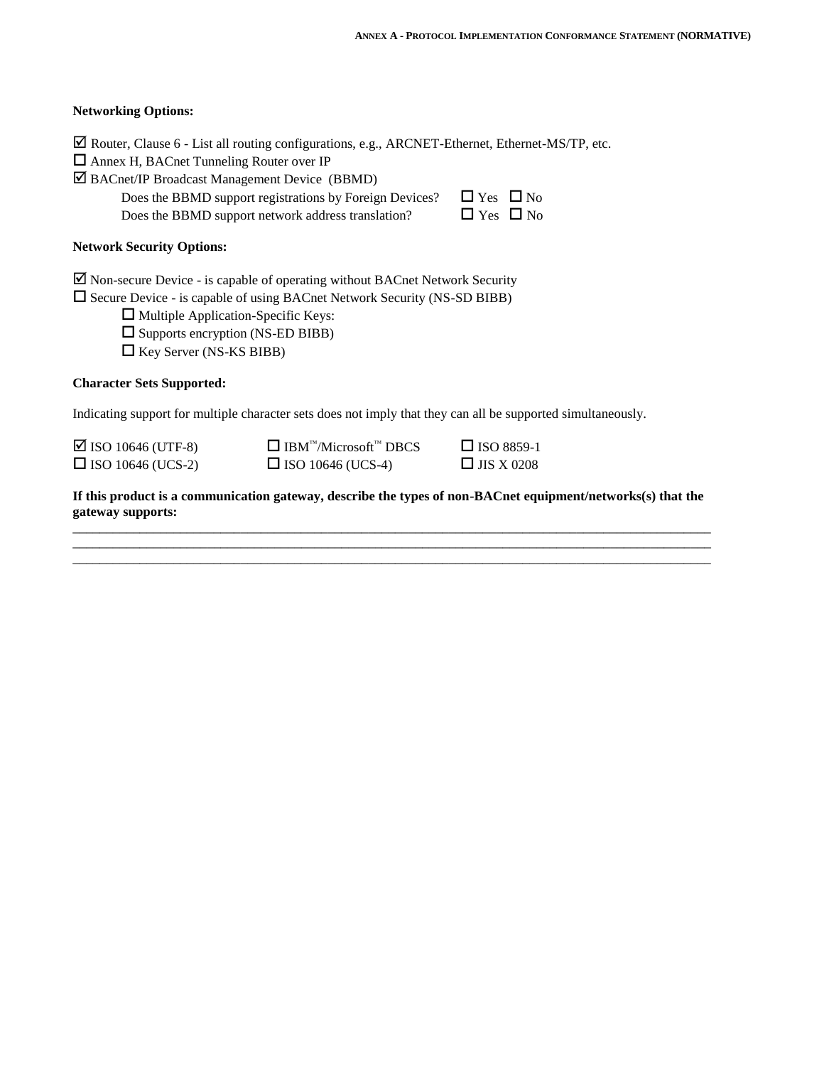### **Networking Options:**

|  |  |  |  | ⊠ Router, Clause 6 - List all routing configurations, e.g., ARCNET-Ethernet, Ethernet-MS/TP, etc. |  |
|--|--|--|--|---------------------------------------------------------------------------------------------------|--|
|  |  |  |  |                                                                                                   |  |

| $\Box$ Annex H, BACnet Tunneling Router over IP |  |
|-------------------------------------------------|--|
|-------------------------------------------------|--|

BACnet/IP Broadcast Management Device (BBMD)

Does the BBMD support registrations by Foreign Devices?  $\Box$  Yes  $\Box$  No

Does the BBMD support network address translation?  $\Box$  Yes  $\Box$  No

# **Network Security Options:**

 $\boxtimes$  Non-secure Device - is capable of operating without BACnet Network Security

 $\square$  Secure Device - is capable of using BACnet Network Security (NS-SD BIBB)

□ Multiple Application-Specific Keys:

 $\square$  Supports encryption (NS-ED BIBB)

 $\Box$  Key Server (NS-KS BIBB)

### **Character Sets Supported:**

Indicating support for multiple character sets does not imply that they can all be supported simultaneously.

 $\Box$  ISO 10646 (UTF-8)  $\Box$  IBM<sup>™</sup>/Microsoft<sup>™</sup> DBCS  $\Box$  ISO 8859-1

 $\Box$  ISO 10646 (UCS-2)  $\Box$  ISO 10646 (UCS-4)  $\Box$  JIS X 0208

**If this product is a communication gateway, describe the types of non-BACnet equipment/networks(s) that the gateway supports:** \_\_\_\_\_\_\_\_\_\_\_\_\_\_\_\_\_\_\_\_\_\_\_\_\_\_\_\_\_\_\_\_\_\_\_\_\_\_\_\_\_\_\_\_\_\_\_\_\_\_\_\_\_\_\_\_\_\_\_\_\_\_\_\_\_\_\_\_\_\_\_\_\_\_\_\_\_\_\_\_\_\_\_\_\_\_\_\_\_\_\_\_\_\_\_

\_\_\_\_\_\_\_\_\_\_\_\_\_\_\_\_\_\_\_\_\_\_\_\_\_\_\_\_\_\_\_\_\_\_\_\_\_\_\_\_\_\_\_\_\_\_\_\_\_\_\_\_\_\_\_\_\_\_\_\_\_\_\_\_\_\_\_\_\_\_\_\_\_\_\_\_\_\_\_\_\_\_\_\_\_\_\_\_\_\_\_\_\_\_\_ \_\_\_\_\_\_\_\_\_\_\_\_\_\_\_\_\_\_\_\_\_\_\_\_\_\_\_\_\_\_\_\_\_\_\_\_\_\_\_\_\_\_\_\_\_\_\_\_\_\_\_\_\_\_\_\_\_\_\_\_\_\_\_\_\_\_\_\_\_\_\_\_\_\_\_\_\_\_\_\_\_\_\_\_\_\_\_\_\_\_\_\_\_\_\_